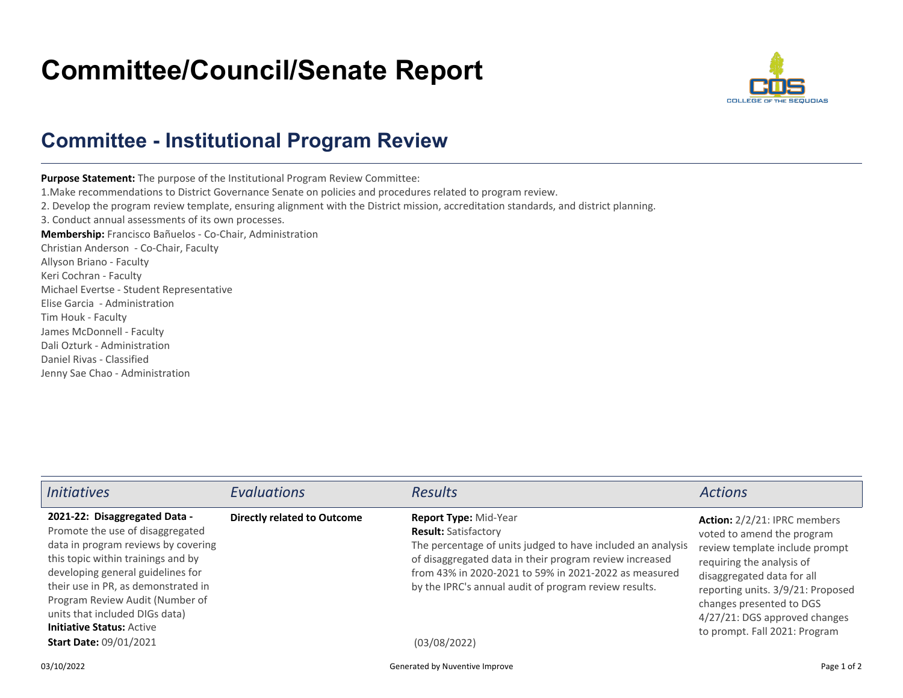## **Committee/Council/Senate Report**



## **Committee - Institutional Program Review**

**Purpose Statement:** The purpose of the Institutional Program Review Committee: 1.Make recommendations to District Governance Senate on policies and procedures related to program review.2. Develop the program review template, ensuring alignment with the District mission, accreditation standards, and district planning.3. Conduct annual assessments of its own processes.**Membership:** Francisco Bañuelos - Co-Chair, AdministrationChristian Anderson - Co-Chair, FacultyAllyson Briano - FacultyKeri Cochran - Faculty Michael Evertse - Student RepresentativeElise Garcia - AdministrationTim Houk - Faculty James McDonnell - Faculty Dali Ozturk - AdministrationDaniel Rivas - ClassifiedJenny Sae Chao - Administration

| <i>Initiatives</i>                                                                                                                                                                                                                                                                                                                                                   | <b>Evaluations</b>                 | <b>Results</b>                                                                                                                                                                                                                                                                                                   | <b>Actions</b>                                                                                                                                                                                                                                                                                    |
|----------------------------------------------------------------------------------------------------------------------------------------------------------------------------------------------------------------------------------------------------------------------------------------------------------------------------------------------------------------------|------------------------------------|------------------------------------------------------------------------------------------------------------------------------------------------------------------------------------------------------------------------------------------------------------------------------------------------------------------|---------------------------------------------------------------------------------------------------------------------------------------------------------------------------------------------------------------------------------------------------------------------------------------------------|
| 2021-22: Disaggregated Data -<br>Promote the use of disaggregated<br>data in program reviews by covering<br>this topic within trainings and by<br>developing general guidelines for<br>their use in PR, as demonstrated in<br>Program Review Audit (Number of<br>units that included DIGs data)<br><b>Initiative Status: Active</b><br><b>Start Date: 09/01/2021</b> | <b>Directly related to Outcome</b> | Report Type: Mid-Year<br><b>Result: Satisfactory</b><br>The percentage of units judged to have included an analysis<br>of disaggregated data in their program review increased<br>from 43% in 2020-2021 to 59% in 2021-2022 as measured<br>by the IPRC's annual audit of program review results.<br>(03/08/2022) | <b>Action:</b> 2/2/21: IPRC members<br>voted to amend the program<br>review template include prompt<br>requiring the analysis of<br>disaggregated data for all<br>reporting units. 3/9/21: Proposed<br>changes presented to DGS<br>4/27/21: DGS approved changes<br>to prompt. Fall 2021: Program |